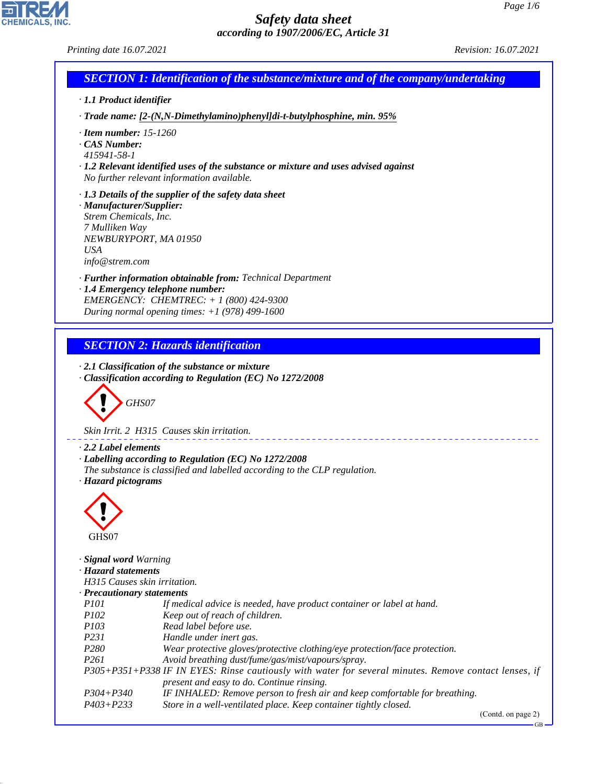*Printing date 16.07.2021 Revision: 16.07.2021*

CHEMICALS, INC.

44.1.1

|                                                                                                                              | <b>SECTION 1: Identification of the substance/mixture and of the company/undertaking</b>                                                                                                    |
|------------------------------------------------------------------------------------------------------------------------------|---------------------------------------------------------------------------------------------------------------------------------------------------------------------------------------------|
| · 1.1 Product identifier                                                                                                     |                                                                                                                                                                                             |
|                                                                                                                              | · Trade name: [2-(N,N-Dimethylamino)phenyl]di-t-butylphosphine, min. 95%                                                                                                                    |
| $\cdot$ Item number: 15-1260<br>CAS Number:<br>415941-58-1                                                                   | $\cdot$ 1.2 Relevant identified uses of the substance or mixture and uses advised against<br>No further relevant information available.                                                     |
| · Manufacturer/Supplier:<br>Strem Chemicals, Inc.<br>7 Mulliken Way<br>NEWBURYPORT, MA 01950<br><b>USA</b><br>info@strem.com | $\cdot$ 1.3 Details of the supplier of the safety data sheet                                                                                                                                |
|                                                                                                                              | · Further information obtainable from: Technical Department<br>· 1.4 Emergency telephone number:<br>EMERGENCY: CHEMTREC: $+ 1 (800) 424 - 9300$                                             |
|                                                                                                                              | During normal opening times: $+1$ (978) 499-1600                                                                                                                                            |
|                                                                                                                              | <b>SECTION 2: Hazards identification</b><br>$\cdot$ 2.1 Classification of the substance or mixture<br>Classification according to Regulation (EC) No 1272/2008                              |
| GHS07                                                                                                                        |                                                                                                                                                                                             |
|                                                                                                                              | Skin Irrit. 2 H315 Causes skin irritation.                                                                                                                                                  |
| $\cdot$ 2.2 Label elements<br>· Hazard pictograms<br>⌒                                                                       | · Labelling according to Regulation (EC) No 1272/2008<br>The substance is classified and labelled according to the CLP regulation.                                                          |
| GHS07                                                                                                                        |                                                                                                                                                                                             |
| · Signal word Warning<br>· Hazard statements<br>H315 Causes skin irritation.<br>· Precautionary statements<br><i>P101</i>    | If medical advice is needed, have product container or label at hand.                                                                                                                       |
| P102                                                                                                                         | Keep out of reach of children.                                                                                                                                                              |
| P <sub>103</sub>                                                                                                             | Read label before use.                                                                                                                                                                      |
| P <sub>231</sub>                                                                                                             | Handle under inert gas.                                                                                                                                                                     |
| P <sub>280</sub>                                                                                                             | Wear protective gloves/protective clothing/eye protection/face protection.                                                                                                                  |
| P <sub>261</sub>                                                                                                             | Avoid breathing dust/fume/gas/mist/vapours/spray.                                                                                                                                           |
|                                                                                                                              | P305+P351+P338 IF IN EYES: Rinse cautiously with water for several minutes. Remove contact lenses, if                                                                                       |
| $P304 + P340$<br>$P403 + P233$                                                                                               | present and easy to do. Continue rinsing.<br>IF INHALED: Remove person to fresh air and keep comfortable for breathing.<br>Store in a well-ventilated place. Keep container tightly closed. |

(Contd. on page 2)

GB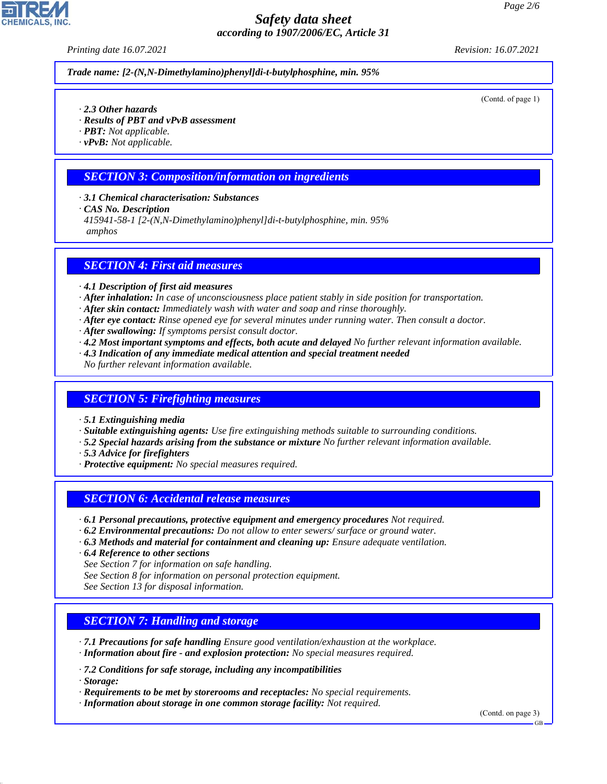*Printing date 16.07.2021 Revision: 16.07.2021*

*Trade name: [2-(N,N-Dimethylamino)phenyl]di-t-butylphosphine, min. 95%*

(Contd. of page 1)

- *· 2.3 Other hazards*
- *· Results of PBT and vPvB assessment*
- *· PBT: Not applicable.*
- *· vPvB: Not applicable.*

#### *SECTION 3: Composition/information on ingredients*

- *· 3.1 Chemical characterisation: Substances*
- *· CAS No. Description*
- *415941-58-1 [2-(N,N-Dimethylamino)phenyl]di-t-butylphosphine, min. 95%*

 *amphos*

#### *SECTION 4: First aid measures*

- *· 4.1 Description of first aid measures*
- *· After inhalation: In case of unconsciousness place patient stably in side position for transportation.*
- *· After skin contact: Immediately wash with water and soap and rinse thoroughly.*
- *· After eye contact: Rinse opened eye for several minutes under running water. Then consult a doctor.*
- *· After swallowing: If symptoms persist consult doctor.*
- *· 4.2 Most important symptoms and effects, both acute and delayed No further relevant information available.*
- *· 4.3 Indication of any immediate medical attention and special treatment needed*
- *No further relevant information available.*

#### *SECTION 5: Firefighting measures*

- *· 5.1 Extinguishing media*
- *· Suitable extinguishing agents: Use fire extinguishing methods suitable to surrounding conditions.*
- *· 5.2 Special hazards arising from the substance or mixture No further relevant information available.*
- *· 5.3 Advice for firefighters*
- *· Protective equipment: No special measures required.*

#### *SECTION 6: Accidental release measures*

- *· 6.1 Personal precautions, protective equipment and emergency procedures Not required.*
- *· 6.2 Environmental precautions: Do not allow to enter sewers/ surface or ground water.*
- *· 6.3 Methods and material for containment and cleaning up: Ensure adequate ventilation.*
- *· 6.4 Reference to other sections*
- *See Section 7 for information on safe handling.*
- *See Section 8 for information on personal protection equipment.*

*See Section 13 for disposal information.*

### *SECTION 7: Handling and storage*

- *· 7.1 Precautions for safe handling Ensure good ventilation/exhaustion at the workplace. · Information about fire - and explosion protection: No special measures required.*
- *· 7.2 Conditions for safe storage, including any incompatibilities*

*· Storage:*

44.1.1

- *· Requirements to be met by storerooms and receptacles: No special requirements.*
- *· Information about storage in one common storage facility: Not required.*

(Contd. on page 3)

GB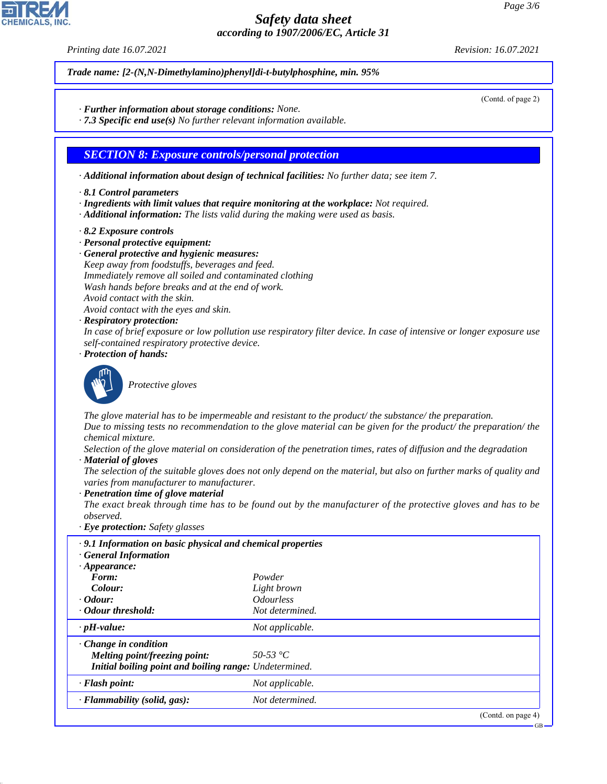*Printing date 16.07.2021 Revision: 16.07.2021*

*Trade name: [2-(N,N-Dimethylamino)phenyl]di-t-butylphosphine, min. 95%*

- *· Further information about storage conditions: None.*
- *· 7.3 Specific end use(s) No further relevant information available.*

#### *SECTION 8: Exposure controls/personal protection*

- *· Additional information about design of technical facilities: No further data; see item 7.*
- *· 8.1 Control parameters*
- *· Ingredients with limit values that require monitoring at the workplace: Not required.*
- *· Additional information: The lists valid during the making were used as basis.*
- *· 8.2 Exposure controls*
- *· Personal protective equipment:*
- *· General protective and hygienic measures:*
- *Keep away from foodstuffs, beverages and feed. Immediately remove all soiled and contaminated clothing Wash hands before breaks and at the end of work.*
- *Avoid contact with the skin.*
- *Avoid contact with the eyes and skin.*
- *· Respiratory protection:*

*In case of brief exposure or low pollution use respiratory filter device. In case of intensive or longer exposure use self-contained respiratory protective device.*

*· Protection of hands:*



44.1.1

\_S*Protective gloves*

*The glove material has to be impermeable and resistant to the product/ the substance/ the preparation. Due to missing tests no recommendation to the glove material can be given for the product/ the preparation/ the chemical mixture.*

*Selection of the glove material on consideration of the penetration times, rates of diffusion and the degradation · Material of gloves*

*The selection of the suitable gloves does not only depend on the material, but also on further marks of quality and varies from manufacturer to manufacturer.*

*· Penetration time of glove material*

*The exact break through time has to be found out by the manufacturer of the protective gloves and has to be observed.*

*· Eye protection: Safety glasses*

| .9.1 Information on basic physical and chemical properties<br><b>General Information</b> |                                |
|------------------------------------------------------------------------------------------|--------------------------------|
| $\cdot$ Appearance:                                                                      |                                |
| Form:                                                                                    | Powder                         |
| Colour:                                                                                  | Light brown                    |
| $\cdot$ Odour:                                                                           | <i><u><b>Odourless</b></u></i> |
| • Odour threshold:                                                                       | Not determined.                |
| $\cdot$ pH-value:                                                                        | Not applicable.                |
| $\cdot$ Change in condition                                                              |                                |
| Melting point/freezing point:                                                            | 50-53 °C                       |
| Initial boiling point and boiling range: Undetermined.                                   |                                |
| $\cdot$ Flash point:                                                                     | Not applicable.                |
| · Flammability (solid, gas):                                                             | Not determined.                |
|                                                                                          | (Contd. on page 4)             |

(Contd. of page 2)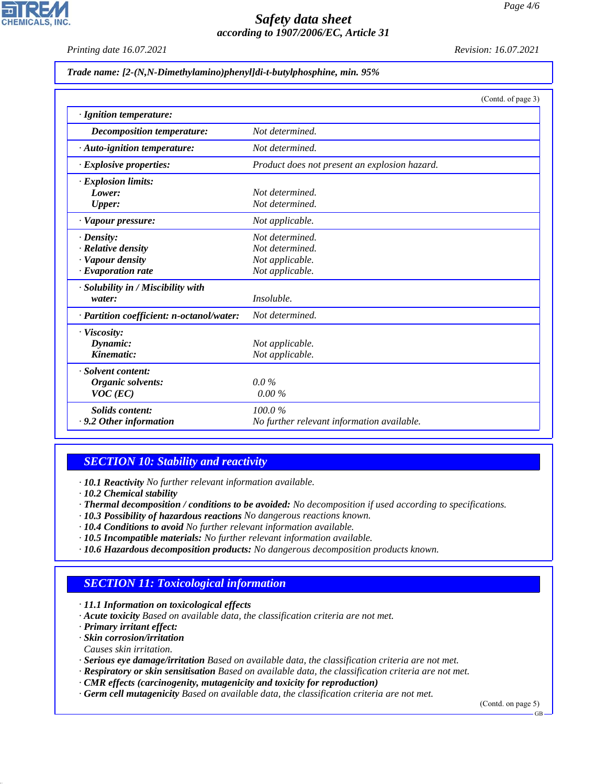*Printing date 16.07.2021 Revision: 16.07.2021*

**CHEMICALS, INC** 

| Trade name: [2-(N,N-Dimethylamino)phenyl]di-t-butylphosphine, min. 95% |  |  |  |  |
|------------------------------------------------------------------------|--|--|--|--|
|                                                                        |  |  |  |  |

|                                           | (Contd. of page 3)                            |
|-------------------------------------------|-----------------------------------------------|
| · Ignition temperature:                   |                                               |
| <b>Decomposition temperature:</b>         | Not determined.                               |
| $\cdot$ Auto-ignition temperature:        | Not determined.                               |
| $\cdot$ Explosive properties:             | Product does not present an explosion hazard. |
| · Explosion limits:                       |                                               |
| Lower:                                    | Not determined.                               |
| <b>Upper:</b>                             | Not determined.                               |
| · Vapour pressure:                        | Not applicable.                               |
| $\cdot$ Density:                          | Not determined.                               |
| · Relative density                        | Not determined.                               |
| · Vapour density                          | Not applicable.                               |
| $\cdot$ Evaporation rate                  | Not applicable.                               |
| · Solubility in / Miscibility with        |                                               |
| water:                                    | <i>Insoluble.</i>                             |
| · Partition coefficient: n-octanol/water: | Not determined.                               |
| · Viscosity:                              |                                               |
| Dynamic:                                  | Not applicable.                               |
| Kinematic:                                | Not applicable.                               |
| · Solvent content:                        |                                               |
| Organic solvents:                         | $0.0\%$                                       |
| $VOC$ (EC)                                | $0.00\%$                                      |
| <b>Solids content:</b>                    | 100.0%                                        |
| $\cdot$ 9.2 Other information             | No further relevant information available.    |

### *SECTION 10: Stability and reactivity*

*· 10.1 Reactivity No further relevant information available.*

- *· Thermal decomposition / conditions to be avoided: No decomposition if used according to specifications.*
- *· 10.3 Possibility of hazardous reactions No dangerous reactions known.*
- *· 10.4 Conditions to avoid No further relevant information available.*
- *· 10.5 Incompatible materials: No further relevant information available.*
- *· 10.6 Hazardous decomposition products: No dangerous decomposition products known.*

# *SECTION 11: Toxicological information*

*· 11.1 Information on toxicological effects*

- *· Acute toxicity Based on available data, the classification criteria are not met.*
- *· Primary irritant effect:*
- *· Skin corrosion/irritation*

*Causes skin irritation.*

44.1.1

- *· Serious eye damage/irritation Based on available data, the classification criteria are not met.*
- *· Respiratory or skin sensitisation Based on available data, the classification criteria are not met.*
- *· CMR effects (carcinogenity, mutagenicity and toxicity for reproduction)*
- *· Germ cell mutagenicity Based on available data, the classification criteria are not met.*

(Contd. on page 5) GB

*<sup>·</sup> 10.2 Chemical stability*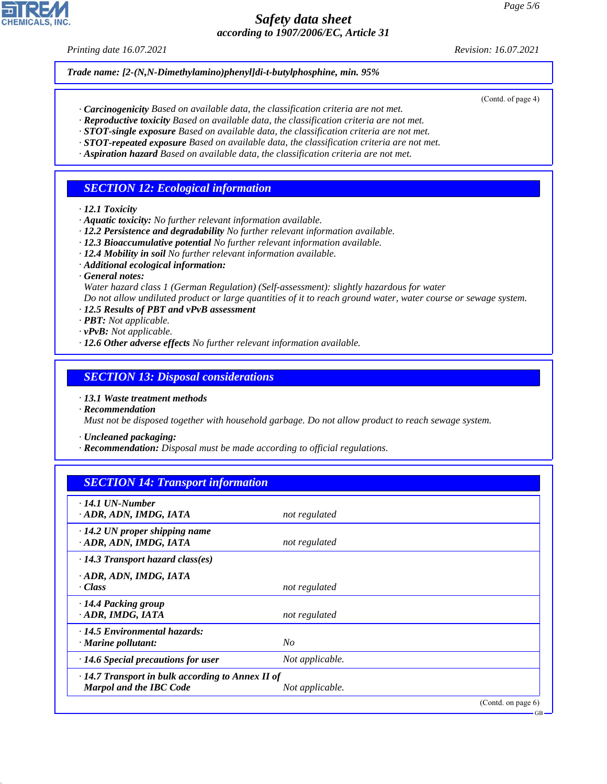*Printing date 16.07.2021 Revision: 16.07.2021*

*Trade name: [2-(N,N-Dimethylamino)phenyl]di-t-butylphosphine, min. 95%*

(Contd. of page 4)

GB

- *· Carcinogenicity Based on available data, the classification criteria are not met.*
- *· Reproductive toxicity Based on available data, the classification criteria are not met. · STOT-single exposure Based on available data, the classification criteria are not met.*
- *· STOT-repeated exposure Based on available data, the classification criteria are not met.*
- *· Aspiration hazard Based on available data, the classification criteria are not met.*

### *SECTION 12: Ecological information*

- *· 12.1 Toxicity*
- *· Aquatic toxicity: No further relevant information available.*
- *· 12.2 Persistence and degradability No further relevant information available.*
- *· 12.3 Bioaccumulative potential No further relevant information available.*
- *· 12.4 Mobility in soil No further relevant information available.*
- *· Additional ecological information:*
- *· General notes:*
- *Water hazard class 1 (German Regulation) (Self-assessment): slightly hazardous for water*

*Do not allow undiluted product or large quantities of it to reach ground water, water course or sewage system.*

- *· 12.5 Results of PBT and vPvB assessment*
- *· PBT: Not applicable.*
- *· vPvB: Not applicable.*
- *· 12.6 Other adverse effects No further relevant information available.*

#### *SECTION 13: Disposal considerations*

*· 13.1 Waste treatment methods*

*· Recommendation*

44.1.1

*Must not be disposed together with household garbage. Do not allow product to reach sewage system.*

*· Uncleaned packaging:*

*· Recommendation: Disposal must be made according to official regulations.*

### *SECTION 14: Transport information*

| $\cdot$ 14.1 UN-Number<br>ADR, ADN, IMDG, IATA                                            | not regulated   |                       |
|-------------------------------------------------------------------------------------------|-----------------|-----------------------|
| $\cdot$ 14.2 UN proper shipping name<br>· ADR, ADN, IMDG, IATA                            | not regulated   |                       |
| $\cdot$ 14.3 Transport hazard class(es)                                                   |                 |                       |
| · ADR, ADN, IMDG, IATA<br>· Class                                                         | not regulated   |                       |
| · 14.4 Packing group<br>· ADR, IMDG, IATA                                                 | not regulated   |                       |
| · 14.5 Environmental hazards:<br>$\cdot$ Marine pollutant:                                | N <sub>O</sub>  |                       |
| $\cdot$ 14.6 Special precautions for user                                                 | Not applicable. |                       |
| $\cdot$ 14.7 Transport in bulk according to Annex II of<br><b>Marpol and the IBC Code</b> | Not applicable. |                       |
|                                                                                           |                 | (Contd. on page $6$ ) |